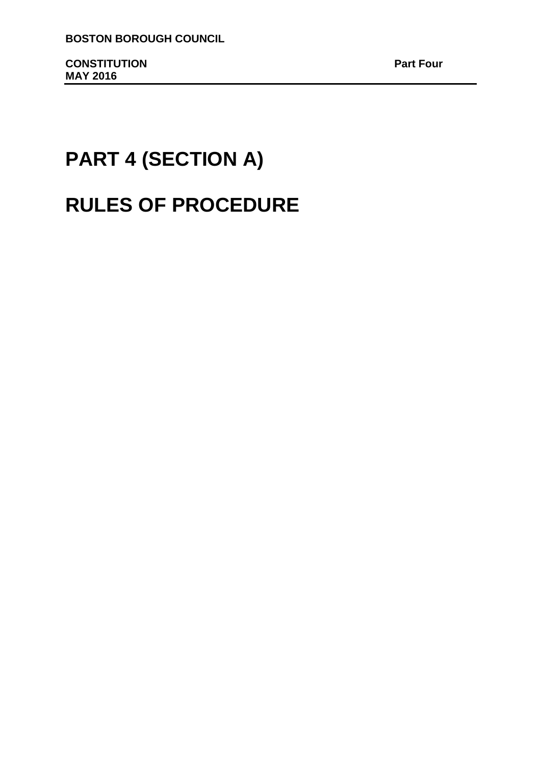# **PART 4 (SECTION A)**

# **RULES OF PROCEDURE**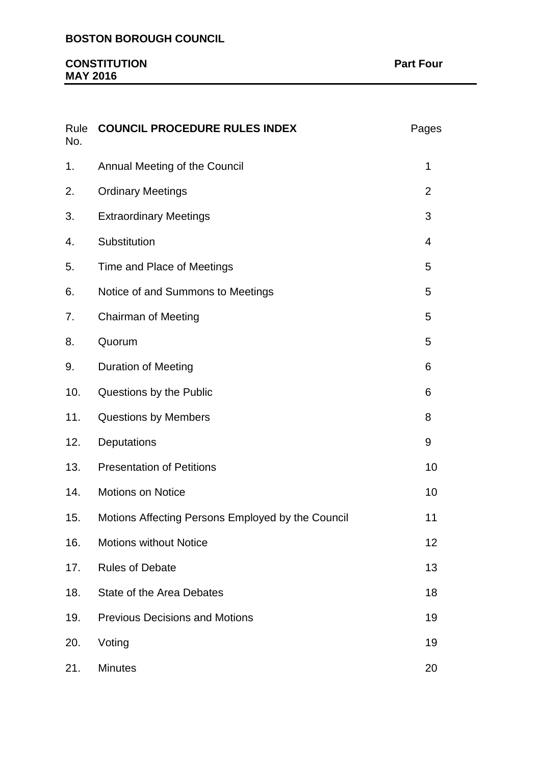# **BOSTON BOROUGH COUNCIL**

| Rule<br>No. | <b>COUNCIL PROCEDURE RULES INDEX</b>              | Pages          |
|-------------|---------------------------------------------------|----------------|
| 1.          | Annual Meeting of the Council                     | 1              |
| 2.          | <b>Ordinary Meetings</b>                          | $\overline{2}$ |
| 3.          | <b>Extraordinary Meetings</b>                     | 3              |
| 4.          | Substitution                                      | 4              |
| 5.          | Time and Place of Meetings                        | 5              |
| 6.          | Notice of and Summons to Meetings                 | 5              |
| 7.          | <b>Chairman of Meeting</b>                        | 5              |
| 8.          | Quorum                                            | 5              |
| 9.          | <b>Duration of Meeting</b>                        | 6              |
| 10.         | Questions by the Public                           | 6              |
| 11.         | <b>Questions by Members</b>                       | 8              |
| 12.         | Deputations                                       | 9              |
| 13.         | <b>Presentation of Petitions</b>                  | 10             |
| 14.         | <b>Motions on Notice</b>                          | 10             |
| 15.         | Motions Affecting Persons Employed by the Council | 11             |
| 16.         | <b>Motions without Notice</b>                     | 12             |
| 17.         | <b>Rules of Debate</b>                            | 13             |
| 18.         | State of the Area Debates                         | 18             |
| 19.         | <b>Previous Decisions and Motions</b>             | 19             |
| 20.         | Voting                                            | 19             |
| 21.         | <b>Minutes</b>                                    | 20             |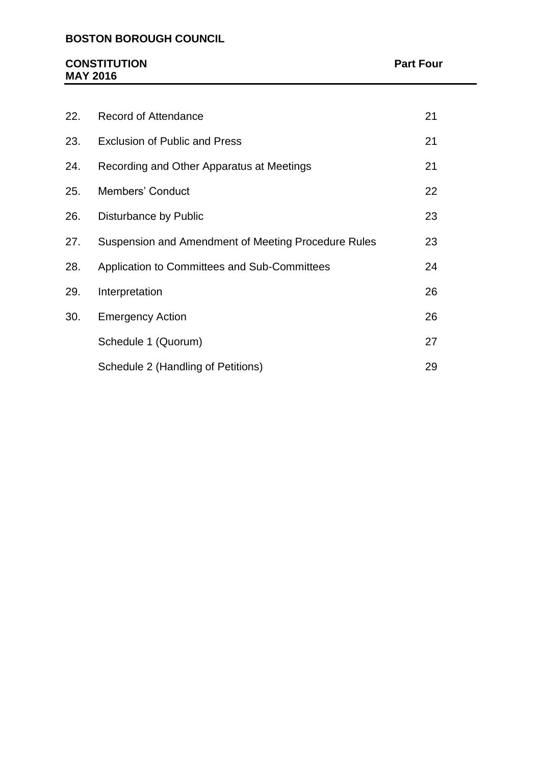# **BOSTON BOROUGH COUNCIL**

| 22. | <b>Record of Attendance</b>                         | 21 |
|-----|-----------------------------------------------------|----|
| 23. | <b>Exclusion of Public and Press</b>                | 21 |
| 24. | Recording and Other Apparatus at Meetings           | 21 |
| 25. | <b>Members' Conduct</b>                             | 22 |
| 26. | Disturbance by Public                               | 23 |
| 27. | Suspension and Amendment of Meeting Procedure Rules | 23 |
| 28. | Application to Committees and Sub-Committees        | 24 |
| 29. | Interpretation                                      | 26 |
| 30. | <b>Emergency Action</b>                             | 26 |
|     | Schedule 1 (Quorum)                                 | 27 |
|     | Schedule 2 (Handling of Petitions)                  | 29 |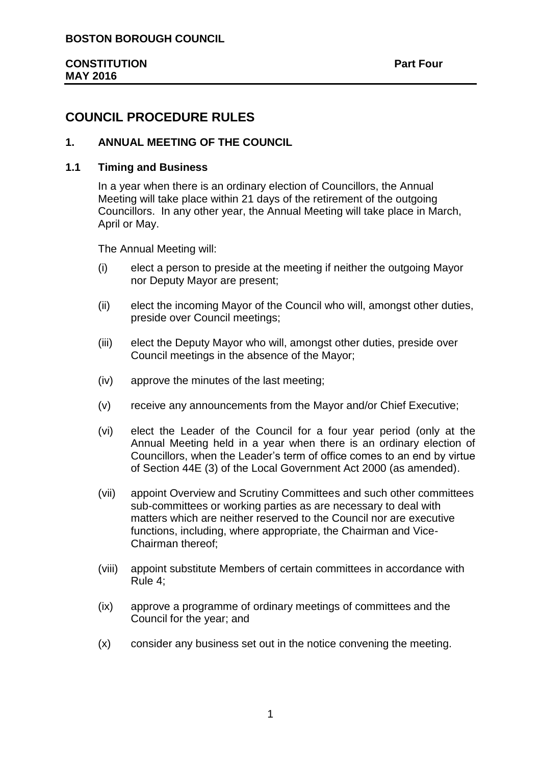# **COUNCIL PROCEDURE RULES**

# **1. ANNUAL MEETING OF THE COUNCIL**

## **1.1 Timing and Business**

In a year when there is an ordinary election of Councillors, the Annual Meeting will take place within 21 days of the retirement of the outgoing Councillors. In any other year, the Annual Meeting will take place in March, April or May.

The Annual Meeting will:

- (i) elect a person to preside at the meeting if neither the outgoing Mayor nor Deputy Mayor are present;
- (ii) elect the incoming Mayor of the Council who will, amongst other duties, preside over Council meetings;
- (iii) elect the Deputy Mayor who will, amongst other duties, preside over Council meetings in the absence of the Mayor;
- (iv) approve the minutes of the last meeting;
- (v) receive any announcements from the Mayor and/or Chief Executive;
- (vi) elect the Leader of the Council for a four year period (only at the Annual Meeting held in a year when there is an ordinary election of Councillors, when the Leader's term of office comes to an end by virtue of Section 44E (3) of the Local Government Act 2000 (as amended).
- (vii) appoint Overview and Scrutiny Committees and such other committees sub-committees or working parties as are necessary to deal with matters which are neither reserved to the Council nor are executive functions, including, where appropriate, the Chairman and Vice-Chairman thereof;
- (viii) appoint substitute Members of certain committees in accordance with Rule 4;
- (ix) approve a programme of ordinary meetings of committees and the Council for the year; and
- (x) consider any business set out in the notice convening the meeting.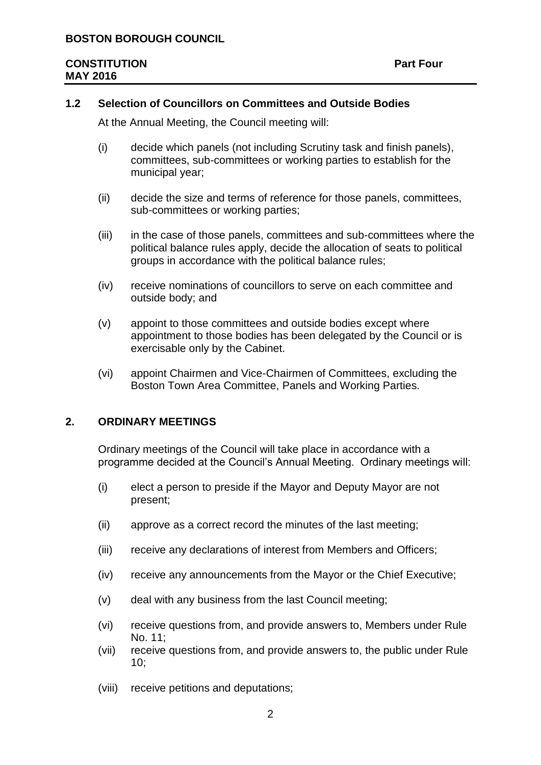## **1.2 Selection of Councillors on Committees and Outside Bodies**

At the Annual Meeting, the Council meeting will:

- (i) decide which panels (not including Scrutiny task and finish panels), committees, sub-committees or working parties to establish for the municipal year;
- (ii) decide the size and terms of reference for those panels, committees, sub-committees or working parties;
- (iii) in the case of those panels, committees and sub-committees where the political balance rules apply, decide the allocation of seats to political groups in accordance with the political balance rules;
- (iv) receive nominations of councillors to serve on each committee and outside body; and
- (v) appoint to those committees and outside bodies except where appointment to those bodies has been delegated by the Council or is exercisable only by the Cabinet.
- (vi) appoint Chairmen and Vice-Chairmen of Committees, excluding the Boston Town Area Committee, Panels and Working Parties.

#### **2. ORDINARY MEETINGS**

Ordinary meetings of the Council will take place in accordance with a programme decided at the Council's Annual Meeting. Ordinary meetings will:

- (i) elect a person to preside if the Mayor and Deputy Mayor are not present;
- (ii) approve as a correct record the minutes of the last meeting;
- (iii) receive any declarations of interest from Members and Officers;
- (iv) receive any announcements from the Mayor or the Chief Executive;
- (v) deal with any business from the last Council meeting;
- (vi) receive questions from, and provide answers to, Members under Rule No. 11;
- (vii) receive questions from, and provide answers to, the public under Rule  $10:$
- (viii) receive petitions and deputations;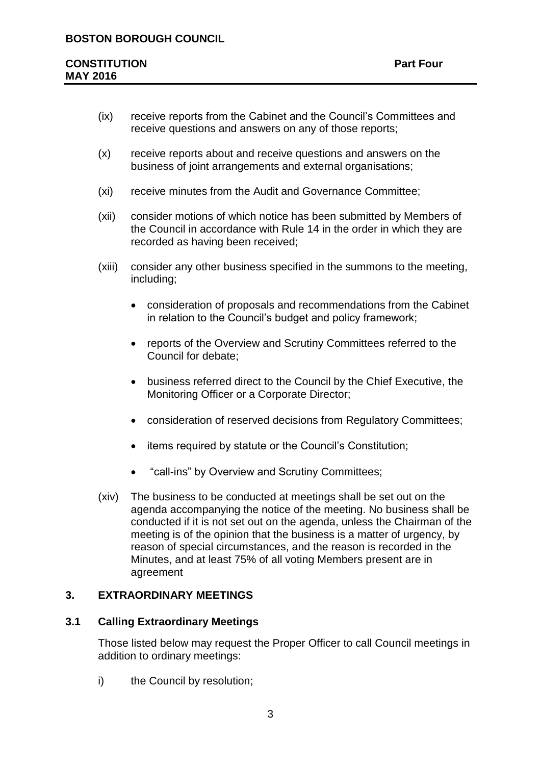- (ix) receive reports from the Cabinet and the Council's Committees and receive questions and answers on any of those reports;
- (x) receive reports about and receive questions and answers on the business of joint arrangements and external organisations;
- (xi) receive minutes from the Audit and Governance Committee;
- (xii) consider motions of which notice has been submitted by Members of the Council in accordance with Rule 14 in the order in which they are recorded as having been received;
- (xiii) consider any other business specified in the summons to the meeting, including;
	- consideration of proposals and recommendations from the Cabinet in relation to the Council's budget and policy framework;
	- reports of the Overview and Scrutiny Committees referred to the Council for debate;
	- business referred direct to the Council by the Chief Executive, the Monitoring Officer or a Corporate Director;
	- consideration of reserved decisions from Regulatory Committees;
	- items required by statute or the Council's Constitution;
	- "call-ins" by Overview and Scrutiny Committees;
- (xiv) The business to be conducted at meetings shall be set out on the agenda accompanying the notice of the meeting. No business shall be conducted if it is not set out on the agenda, unless the Chairman of the meeting is of the opinion that the business is a matter of urgency, by reason of special circumstances, and the reason is recorded in the Minutes, and at least 75% of all voting Members present are in agreement

# **3. EXTRAORDINARY MEETINGS**

# **3.1 Calling Extraordinary Meetings**

Those listed below may request the Proper Officer to call Council meetings in addition to ordinary meetings:

i) the Council by resolution;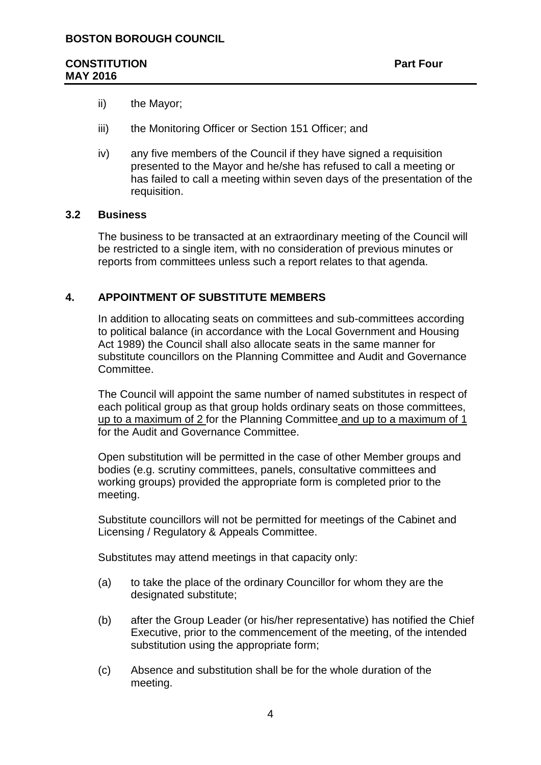- ii) the Mayor;
- iii) the Monitoring Officer or Section 151 Officer; and
- iv) any five members of the Council if they have signed a requisition presented to the Mayor and he/she has refused to call a meeting or has failed to call a meeting within seven days of the presentation of the requisition.

#### **3.2 Business**

The business to be transacted at an extraordinary meeting of the Council will be restricted to a single item, with no consideration of previous minutes or reports from committees unless such a report relates to that agenda.

#### **4. APPOINTMENT OF SUBSTITUTE MEMBERS**

In addition to allocating seats on committees and sub-committees according to political balance (in accordance with the Local Government and Housing Act 1989) the Council shall also allocate seats in the same manner for substitute councillors on the Planning Committee and Audit and Governance Committee.

The Council will appoint the same number of named substitutes in respect of each political group as that group holds ordinary seats on those committees, up to a maximum of 2 for the Planning Committee and up to a maximum of 1 for the Audit and Governance Committee.

Open substitution will be permitted in the case of other Member groups and bodies (e.g. scrutiny committees, panels, consultative committees and working groups) provided the appropriate form is completed prior to the meeting.

Substitute councillors will not be permitted for meetings of the Cabinet and Licensing / Regulatory & Appeals Committee.

Substitutes may attend meetings in that capacity only:

- (a) to take the place of the ordinary Councillor for whom they are the designated substitute;
- (b) after the Group Leader (or his/her representative) has notified the Chief Executive, prior to the commencement of the meeting, of the intended substitution using the appropriate form;
- (c) Absence and substitution shall be for the whole duration of the meeting.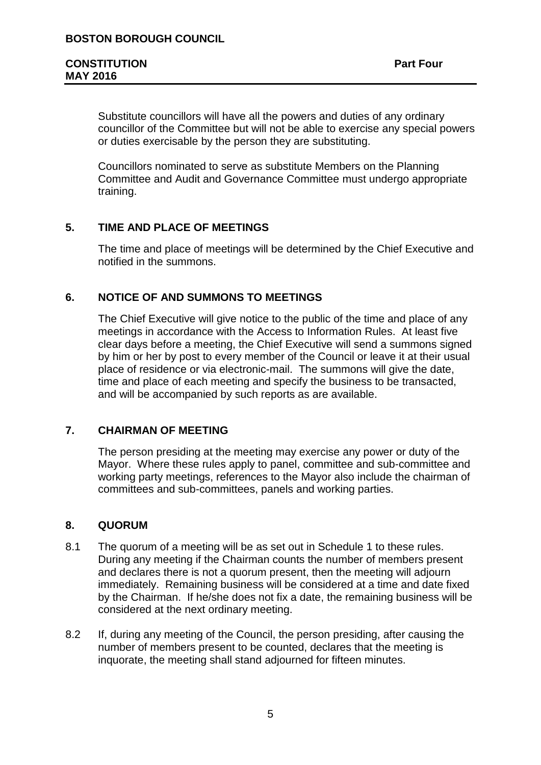Substitute councillors will have all the powers and duties of any ordinary councillor of the Committee but will not be able to exercise any special powers or duties exercisable by the person they are substituting.

Councillors nominated to serve as substitute Members on the Planning Committee and Audit and Governance Committee must undergo appropriate training.

# **5. TIME AND PLACE OF MEETINGS**

The time and place of meetings will be determined by the Chief Executive and notified in the summons.

# **6. NOTICE OF AND SUMMONS TO MEETINGS**

The Chief Executive will give notice to the public of the time and place of any meetings in accordance with the Access to Information Rules. At least five clear days before a meeting, the Chief Executive will send a summons signed by him or her by post to every member of the Council or leave it at their usual place of residence or via electronic-mail. The summons will give the date, time and place of each meeting and specify the business to be transacted, and will be accompanied by such reports as are available.

# **7. CHAIRMAN OF MEETING**

The person presiding at the meeting may exercise any power or duty of the Mayor. Where these rules apply to panel, committee and sub-committee and working party meetings, references to the Mayor also include the chairman of committees and sub-committees, panels and working parties.

# **8. QUORUM**

- 8.1 The quorum of a meeting will be as set out in Schedule 1 to these rules. During any meeting if the Chairman counts the number of members present and declares there is not a quorum present, then the meeting will adjourn immediately. Remaining business will be considered at a time and date fixed by the Chairman. If he/she does not fix a date, the remaining business will be considered at the next ordinary meeting.
- 8.2 If, during any meeting of the Council, the person presiding, after causing the number of members present to be counted, declares that the meeting is inquorate, the meeting shall stand adjourned for fifteen minutes.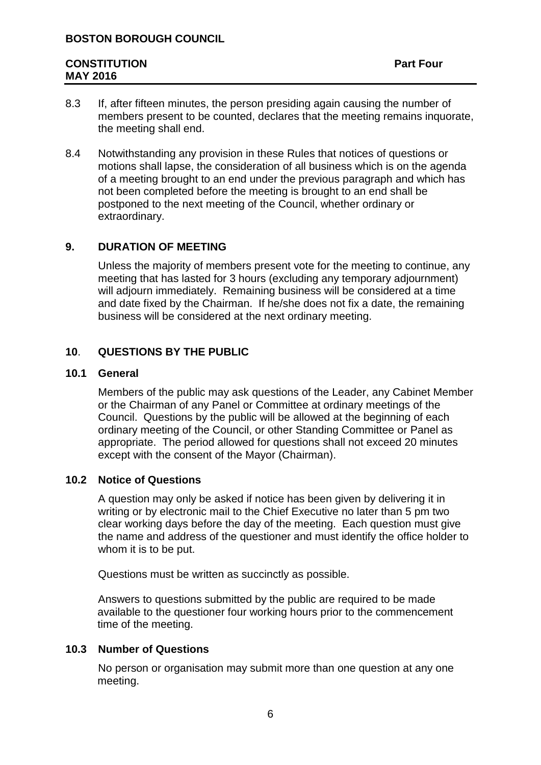- 8.3 If, after fifteen minutes, the person presiding again causing the number of members present to be counted, declares that the meeting remains inquorate, the meeting shall end.
- 8.4 Notwithstanding any provision in these Rules that notices of questions or motions shall lapse, the consideration of all business which is on the agenda of a meeting brought to an end under the previous paragraph and which has not been completed before the meeting is brought to an end shall be postponed to the next meeting of the Council, whether ordinary or extraordinary.

# **9. DURATION OF MEETING**

Unless the majority of members present vote for the meeting to continue, any meeting that has lasted for 3 hours (excluding any temporary adjournment) will adjourn immediately. Remaining business will be considered at a time and date fixed by the Chairman. If he/she does not fix a date, the remaining business will be considered at the next ordinary meeting.

# **10**. **QUESTIONS BY THE PUBLIC**

# **10.1 General**

Members of the public may ask questions of the Leader, any Cabinet Member or the Chairman of any Panel or Committee at ordinary meetings of the Council. Questions by the public will be allowed at the beginning of each ordinary meeting of the Council, or other Standing Committee or Panel as appropriate. The period allowed for questions shall not exceed 20 minutes except with the consent of the Mayor (Chairman).

# **10.2 Notice of Questions**

A question may only be asked if notice has been given by delivering it in writing or by electronic mail to the Chief Executive no later than 5 pm two clear working days before the day of the meeting. Each question must give the name and address of the questioner and must identify the office holder to whom it is to be put.

Questions must be written as succinctly as possible.

Answers to questions submitted by the public are required to be made available to the questioner four working hours prior to the commencement time of the meeting.

# **10.3 Number of Questions**

No person or organisation may submit more than one question at any one meeting.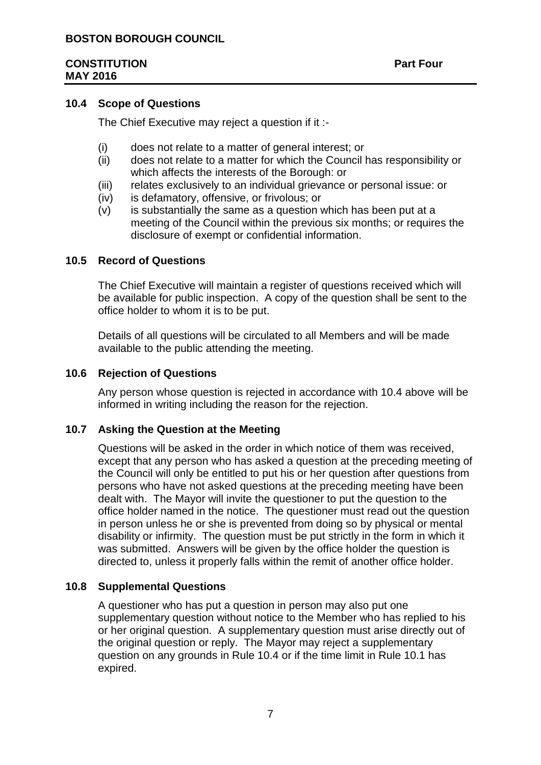#### **10.4 Scope of Questions**

The Chief Executive may reject a question if it :-

- (i) does not relate to a matter of general interest; or
- (ii) does not relate to a matter for which the Council has responsibility or which affects the interests of the Borough: or
- (iii) relates exclusively to an individual grievance or personal issue: or
- (iv) is defamatory, offensive, or frivolous; or
- (v) is substantially the same as a question which has been put at a meeting of the Council within the previous six months; or requires the disclosure of exempt or confidential information.

#### **10.5 Record of Questions**

The Chief Executive will maintain a register of questions received which will be available for public inspection. A copy of the question shall be sent to the office holder to whom it is to be put.

Details of all questions will be circulated to all Members and will be made available to the public attending the meeting.

#### **10.6 Rejection of Questions**

Any person whose question is rejected in accordance with 10.4 above will be informed in writing including the reason for the rejection.

#### **10.7 Asking the Question at the Meeting**

Questions will be asked in the order in which notice of them was received, except that any person who has asked a question at the preceding meeting of the Council will only be entitled to put his or her question after questions from persons who have not asked questions at the preceding meeting have been dealt with. The Mayor will invite the questioner to put the question to the office holder named in the notice. The questioner must read out the question in person unless he or she is prevented from doing so by physical or mental disability or infirmity. The question must be put strictly in the form in which it was submitted. Answers will be given by the office holder the question is directed to, unless it properly falls within the remit of another office holder.

#### **10.8 Supplemental Questions**

A questioner who has put a question in person may also put one supplementary question without notice to the Member who has replied to his or her original question. A supplementary question must arise directly out of the original question or reply. The Mayor may reject a supplementary question on any grounds in Rule 10.4 or if the time limit in Rule 10.1 has expired.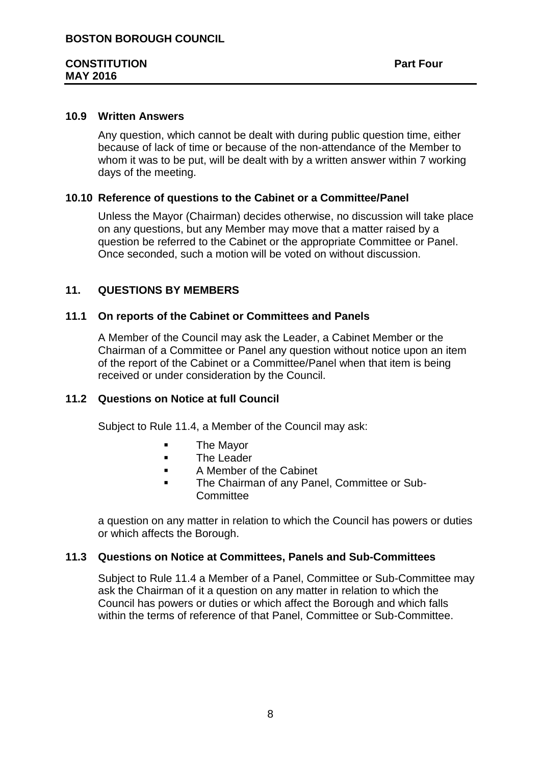#### **10.9 Written Answers**

Any question, which cannot be dealt with during public question time, either because of lack of time or because of the non-attendance of the Member to whom it was to be put, will be dealt with by a written answer within 7 working days of the meeting.

# **10.10 Reference of questions to the Cabinet or a Committee/Panel**

Unless the Mayor (Chairman) decides otherwise, no discussion will take place on any questions, but any Member may move that a matter raised by a question be referred to the Cabinet or the appropriate Committee or Panel. Once seconded, such a motion will be voted on without discussion.

# **11. QUESTIONS BY MEMBERS**

# **11.1 On reports of the Cabinet or Committees and Panels**

A Member of the Council may ask the Leader, a Cabinet Member or the Chairman of a Committee or Panel any question without notice upon an item of the report of the Cabinet or a Committee/Panel when that item is being received or under consideration by the Council.

# **11.2 Questions on Notice at full Council**

Subject to Rule 11.4, a Member of the Council may ask:

- The Mavor
- The Leader
- A Member of the Cabinet
- **The Chairman of any Panel, Committee or Sub-Committee**

a question on any matter in relation to which the Council has powers or duties or which affects the Borough.

# **11.3 Questions on Notice at Committees, Panels and Sub-Committees**

Subject to Rule 11.4 a Member of a Panel, Committee or Sub-Committee may ask the Chairman of it a question on any matter in relation to which the Council has powers or duties or which affect the Borough and which falls within the terms of reference of that Panel, Committee or Sub-Committee.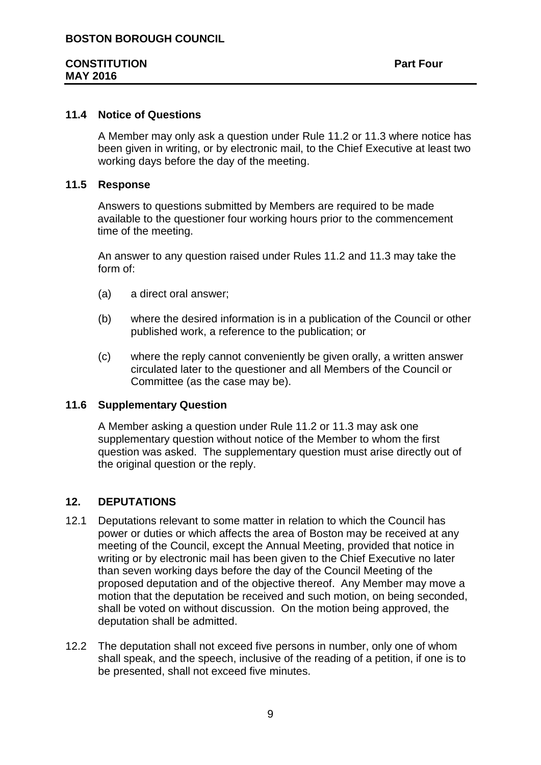# **11.4 Notice of Questions**

A Member may only ask a question under Rule 11.2 or 11.3 where notice has been given in writing, or by electronic mail, to the Chief Executive at least two working days before the day of the meeting.

#### **11.5 Response**

Answers to questions submitted by Members are required to be made available to the questioner four working hours prior to the commencement time of the meeting.

An answer to any question raised under Rules 11.2 and 11.3 may take the form of:

- (a) a direct oral answer;
- (b) where the desired information is in a publication of the Council or other published work, a reference to the publication; or
- (c) where the reply cannot conveniently be given orally, a written answer circulated later to the questioner and all Members of the Council or Committee (as the case may be).

# **11.6 Supplementary Question**

A Member asking a question under Rule 11.2 or 11.3 may ask one supplementary question without notice of the Member to whom the first question was asked. The supplementary question must arise directly out of the original question or the reply.

# **12. DEPUTATIONS**

- 12.1 Deputations relevant to some matter in relation to which the Council has power or duties or which affects the area of Boston may be received at any meeting of the Council, except the Annual Meeting, provided that notice in writing or by electronic mail has been given to the Chief Executive no later than seven working days before the day of the Council Meeting of the proposed deputation and of the objective thereof. Any Member may move a motion that the deputation be received and such motion, on being seconded, shall be voted on without discussion. On the motion being approved, the deputation shall be admitted.
- 12.2 The deputation shall not exceed five persons in number, only one of whom shall speak, and the speech, inclusive of the reading of a petition, if one is to be presented, shall not exceed five minutes.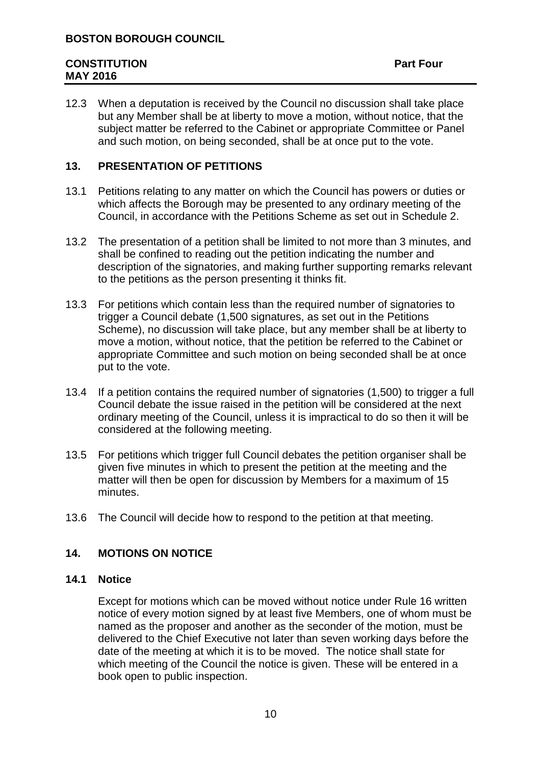12.3 When a deputation is received by the Council no discussion shall take place but any Member shall be at liberty to move a motion, without notice, that the subject matter be referred to the Cabinet or appropriate Committee or Panel and such motion, on being seconded, shall be at once put to the vote.

# **13. PRESENTATION OF PETITIONS**

- 13.1 Petitions relating to any matter on which the Council has powers or duties or which affects the Borough may be presented to any ordinary meeting of the Council, in accordance with the Petitions Scheme as set out in Schedule 2.
- 13.2 The presentation of a petition shall be limited to not more than 3 minutes, and shall be confined to reading out the petition indicating the number and description of the signatories, and making further supporting remarks relevant to the petitions as the person presenting it thinks fit.
- 13.3 For petitions which contain less than the required number of signatories to trigger a Council debate (1,500 signatures, as set out in the Petitions Scheme), no discussion will take place, but any member shall be at liberty to move a motion, without notice, that the petition be referred to the Cabinet or appropriate Committee and such motion on being seconded shall be at once put to the vote.
- 13.4 If a petition contains the required number of signatories (1,500) to trigger a full Council debate the issue raised in the petition will be considered at the next ordinary meeting of the Council, unless it is impractical to do so then it will be considered at the following meeting.
- 13.5 For petitions which trigger full Council debates the petition organiser shall be given five minutes in which to present the petition at the meeting and the matter will then be open for discussion by Members for a maximum of 15 minutes.
- 13.6 The Council will decide how to respond to the petition at that meeting.

# **14. MOTIONS ON NOTICE**

# **14.1 Notice**

Except for motions which can be moved without notice under Rule 16 written notice of every motion signed by at least five Members, one of whom must be named as the proposer and another as the seconder of the motion, must be delivered to the Chief Executive not later than seven working days before the date of the meeting at which it is to be moved. The notice shall state for which meeting of the Council the notice is given. These will be entered in a book open to public inspection.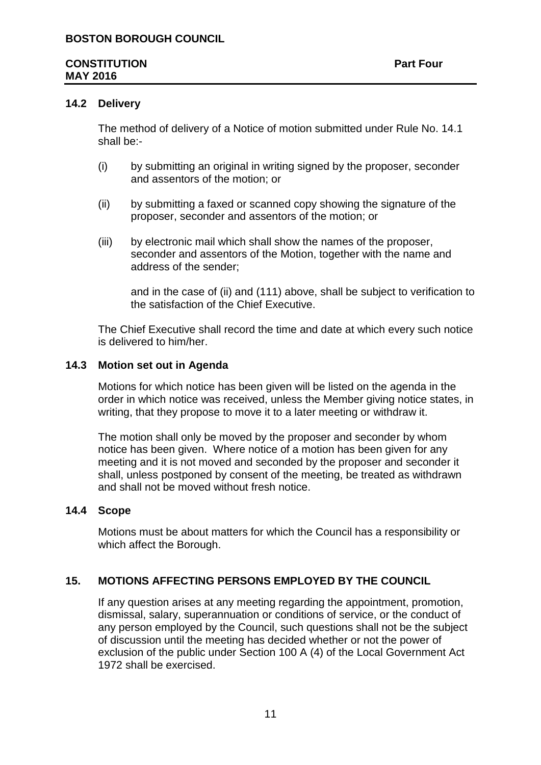## **14.2 Delivery**

The method of delivery of a Notice of motion submitted under Rule No. 14.1 shall be:-

- (i) by submitting an original in writing signed by the proposer, seconder and assentors of the motion; or
- (ii) by submitting a faxed or scanned copy showing the signature of the proposer, seconder and assentors of the motion; or
- (iii) by electronic mail which shall show the names of the proposer, seconder and assentors of the Motion, together with the name and address of the sender;

and in the case of (ii) and (111) above, shall be subject to verification to the satisfaction of the Chief Executive.

The Chief Executive shall record the time and date at which every such notice is delivered to him/her.

#### **14.3 Motion set out in Agenda**

Motions for which notice has been given will be listed on the agenda in the order in which notice was received, unless the Member giving notice states, in writing, that they propose to move it to a later meeting or withdraw it.

The motion shall only be moved by the proposer and seconder by whom notice has been given. Where notice of a motion has been given for any meeting and it is not moved and seconded by the proposer and seconder it shall, unless postponed by consent of the meeting, be treated as withdrawn and shall not be moved without fresh notice.

#### **14.4 Scope**

Motions must be about matters for which the Council has a responsibility or which affect the Borough.

# **15. MOTIONS AFFECTING PERSONS EMPLOYED BY THE COUNCIL**

If any question arises at any meeting regarding the appointment, promotion, dismissal, salary, superannuation or conditions of service, or the conduct of any person employed by the Council, such questions shall not be the subject of discussion until the meeting has decided whether or not the power of exclusion of the public under Section 100 A (4) of the Local Government Act 1972 shall be exercised.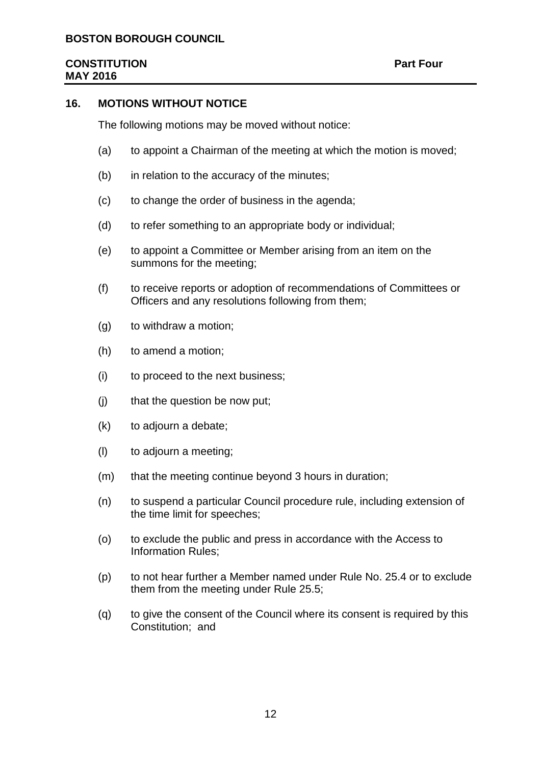# **BOSTON BOROUGH COUNCIL**

# **CONSTITUTION Part Four MAY 2016**

#### **16. MOTIONS WITHOUT NOTICE**

The following motions may be moved without notice:

- (a) to appoint a Chairman of the meeting at which the motion is moved;
- (b) in relation to the accuracy of the minutes;
- (c) to change the order of business in the agenda;
- (d) to refer something to an appropriate body or individual;
- (e) to appoint a Committee or Member arising from an item on the summons for the meeting;
- (f) to receive reports or adoption of recommendations of Committees or Officers and any resolutions following from them;
- (g) to withdraw a motion;
- (h) to amend a motion;
- (i) to proceed to the next business;
- (j) that the question be now put;
- (k) to adjourn a debate;
- (l) to adjourn a meeting;
- (m) that the meeting continue beyond 3 hours in duration;
- (n) to suspend a particular Council procedure rule, including extension of the time limit for speeches;
- (o) to exclude the public and press in accordance with the Access to Information Rules;
- (p) to not hear further a Member named under Rule No. 25.4 or to exclude them from the meeting under Rule 25.5;
- (q) to give the consent of the Council where its consent is required by this Constitution; and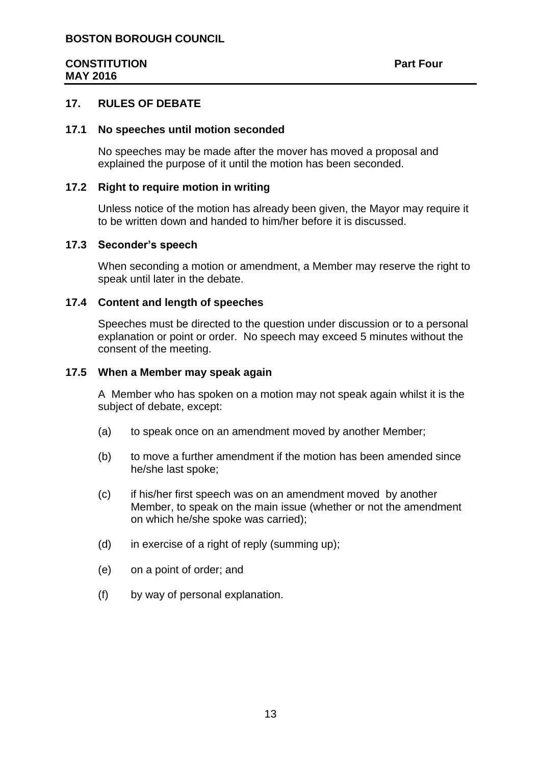#### **17. RULES OF DEBATE**

#### **17.1 No speeches until motion seconded**

No speeches may be made after the mover has moved a proposal and explained the purpose of it until the motion has been seconded.

#### **17.2 Right to require motion in writing**

Unless notice of the motion has already been given, the Mayor may require it to be written down and handed to him/her before it is discussed.

#### **17.3 Seconder's speech**

When seconding a motion or amendment, a Member may reserve the right to speak until later in the debate.

#### **17.4 Content and length of speeches**

Speeches must be directed to the question under discussion or to a personal explanation or point or order. No speech may exceed 5 minutes without the consent of the meeting.

#### **17.5 When a Member may speak again**

A Member who has spoken on a motion may not speak again whilst it is the subject of debate, except:

- (a) to speak once on an amendment moved by another Member;
- (b) to move a further amendment if the motion has been amended since he/she last spoke;
- (c) if his/her first speech was on an amendment moved by another Member, to speak on the main issue (whether or not the amendment on which he/she spoke was carried);
- (d) in exercise of a right of reply (summing up);
- (e) on a point of order; and
- (f) by way of personal explanation.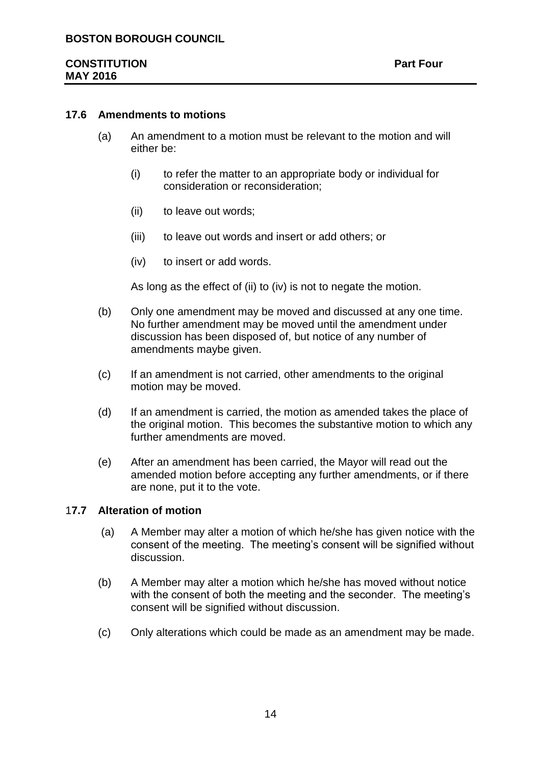## **17.6 Amendments to motions**

- (a) An amendment to a motion must be relevant to the motion and will either be:
	- (i) to refer the matter to an appropriate body or individual for consideration or reconsideration;
	- (ii) to leave out words;
	- (iii) to leave out words and insert or add others; or
	- (iv) to insert or add words.

As long as the effect of (ii) to (iv) is not to negate the motion.

- (b) Only one amendment may be moved and discussed at any one time. No further amendment may be moved until the amendment under discussion has been disposed of, but notice of any number of amendments maybe given.
- (c) If an amendment is not carried, other amendments to the original motion may be moved.
- (d) If an amendment is carried, the motion as amended takes the place of the original motion. This becomes the substantive motion to which any further amendments are moved.
- (e) After an amendment has been carried, the Mayor will read out the amended motion before accepting any further amendments, or if there are none, put it to the vote.

#### 1**7.7 Alteration of motion**

- (a) A Member may alter a motion of which he/she has given notice with the consent of the meeting. The meeting's consent will be signified without discussion.
- (b) A Member may alter a motion which he/she has moved without notice with the consent of both the meeting and the seconder. The meeting's consent will be signified without discussion.
- (c) Only alterations which could be made as an amendment may be made.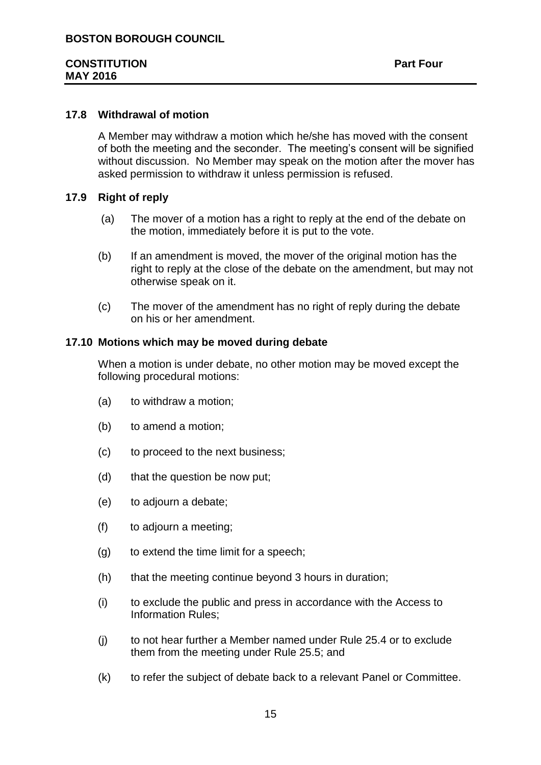# **17.8 Withdrawal of motion**

A Member may withdraw a motion which he/she has moved with the consent of both the meeting and the seconder. The meeting's consent will be signified without discussion. No Member may speak on the motion after the mover has asked permission to withdraw it unless permission is refused.

## **17.9 Right of reply**

- (a) The mover of a motion has a right to reply at the end of the debate on the motion, immediately before it is put to the vote.
- (b) If an amendment is moved, the mover of the original motion has the right to reply at the close of the debate on the amendment, but may not otherwise speak on it.
- (c) The mover of the amendment has no right of reply during the debate on his or her amendment.

#### **17.10 Motions which may be moved during debate**

When a motion is under debate, no other motion may be moved except the following procedural motions:

- (a) to withdraw a motion;
- (b) to amend a motion;
- (c) to proceed to the next business;
- (d) that the question be now put;
- (e) to adjourn a debate;
- (f) to adjourn a meeting;
- (g) to extend the time limit for a speech;
- (h) that the meeting continue beyond 3 hours in duration;
- (i) to exclude the public and press in accordance with the Access to Information Rules;
- (j) to not hear further a Member named under Rule 25.4 or to exclude them from the meeting under Rule 25.5; and
- (k) to refer the subject of debate back to a relevant Panel or Committee.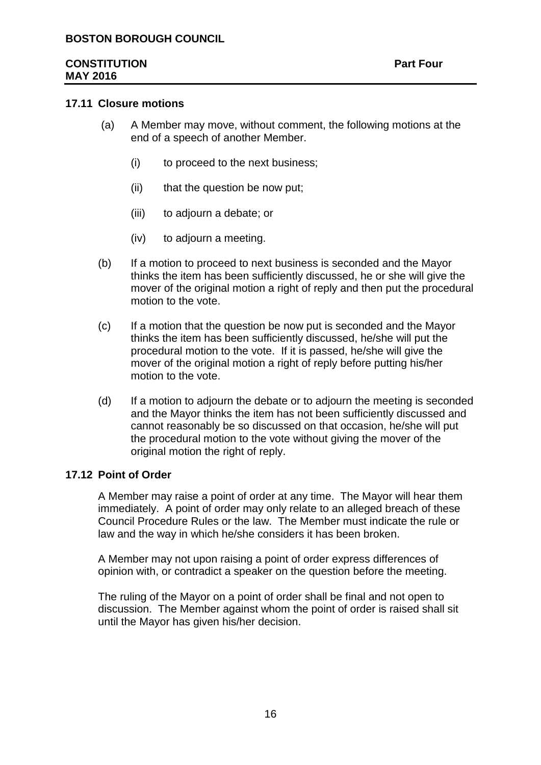#### **17.11 Closure motions**

- (a) A Member may move, without comment, the following motions at the end of a speech of another Member.
	- (i) to proceed to the next business;
	- (ii) that the question be now put;
	- (iii) to adjourn a debate; or
	- (iv) to adjourn a meeting.
- (b) If a motion to proceed to next business is seconded and the Mayor thinks the item has been sufficiently discussed, he or she will give the mover of the original motion a right of reply and then put the procedural motion to the vote.
- (c) If a motion that the question be now put is seconded and the Mayor thinks the item has been sufficiently discussed, he/she will put the procedural motion to the vote. If it is passed, he/she will give the mover of the original motion a right of reply before putting his/her motion to the vote.
- (d) If a motion to adjourn the debate or to adjourn the meeting is seconded and the Mayor thinks the item has not been sufficiently discussed and cannot reasonably be so discussed on that occasion, he/she will put the procedural motion to the vote without giving the mover of the original motion the right of reply.

### **17.12 Point of Order**

A Member may raise a point of order at any time. The Mayor will hear them immediately. A point of order may only relate to an alleged breach of these Council Procedure Rules or the law. The Member must indicate the rule or law and the way in which he/she considers it has been broken.

A Member may not upon raising a point of order express differences of opinion with, or contradict a speaker on the question before the meeting.

The ruling of the Mayor on a point of order shall be final and not open to discussion. The Member against whom the point of order is raised shall sit until the Mayor has given his/her decision.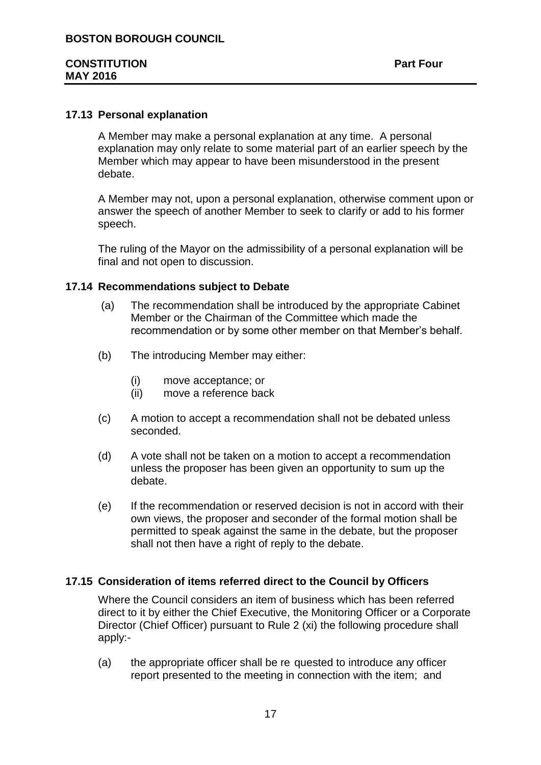## **17.13 Personal explanation**

A Member may make a personal explanation at any time. A personal explanation may only relate to some material part of an earlier speech by the Member which may appear to have been misunderstood in the present debate.

A Member may not, upon a personal explanation, otherwise comment upon or answer the speech of another Member to seek to clarify or add to his former speech.

The ruling of the Mayor on the admissibility of a personal explanation will be final and not open to discussion.

#### **17.14 Recommendations subject to Debate**

- (a) The recommendation shall be introduced by the appropriate Cabinet Member or the Chairman of the Committee which made the recommendation or by some other member on that Member's behalf.
- (b) The introducing Member may either:
	- (i) move acceptance; or
	- (ii) move a reference back
- (c) A motion to accept a recommendation shall not be debated unless seconded.
- (d) A vote shall not be taken on a motion to accept a recommendation unless the proposer has been given an opportunity to sum up the debate.
- (e) If the recommendation or reserved decision is not in accord with their own views, the proposer and seconder of the formal motion shall be permitted to speak against the same in the debate, but the proposer shall not then have a right of reply to the debate.

#### **17.15 Consideration of items referred direct to the Council by Officers**

Where the Council considers an item of business which has been referred direct to it by either the Chief Executive, the Monitoring Officer or a Corporate Director (Chief Officer) pursuant to Rule 2 (xi) the following procedure shall apply:-

(a) the appropriate officer shall be re quested to introduce any officer report presented to the meeting in connection with the item; and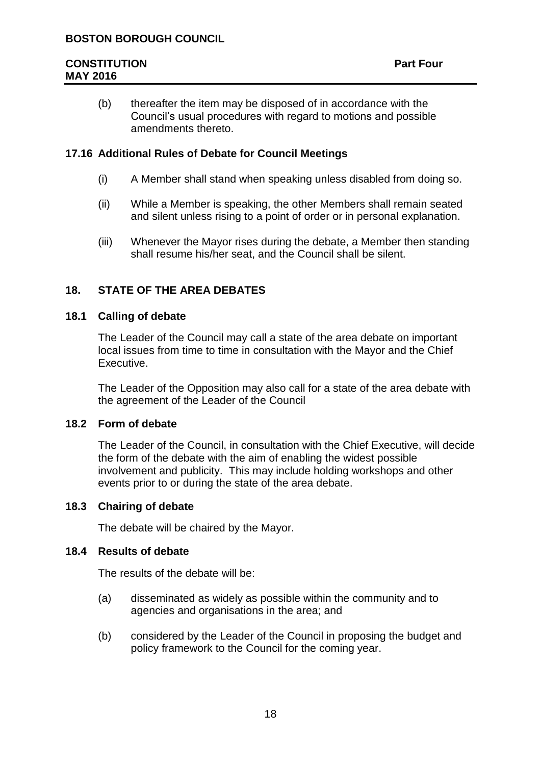(b) thereafter the item may be disposed of in accordance with the Council's usual procedures with regard to motions and possible amendments thereto.

# **17.16 Additional Rules of Debate for Council Meetings**

- (i) A Member shall stand when speaking unless disabled from doing so.
- (ii) While a Member is speaking, the other Members shall remain seated and silent unless rising to a point of order or in personal explanation.
- (iii) Whenever the Mayor rises during the debate, a Member then standing shall resume his/her seat, and the Council shall be silent.

# **18. STATE OF THE AREA DEBATES**

# **18.1 Calling of debate**

The Leader of the Council may call a state of the area debate on important local issues from time to time in consultation with the Mayor and the Chief Executive.

The Leader of the Opposition may also call for a state of the area debate with the agreement of the Leader of the Council

# **18.2 Form of debate**

The Leader of the Council, in consultation with the Chief Executive, will decide the form of the debate with the aim of enabling the widest possible involvement and publicity. This may include holding workshops and other events prior to or during the state of the area debate.

# **18.3 Chairing of debate**

The debate will be chaired by the Mayor.

# **18.4 Results of debate**

The results of the debate will be:

- (a) disseminated as widely as possible within the community and to agencies and organisations in the area; and
- (b) considered by the Leader of the Council in proposing the budget and policy framework to the Council for the coming year.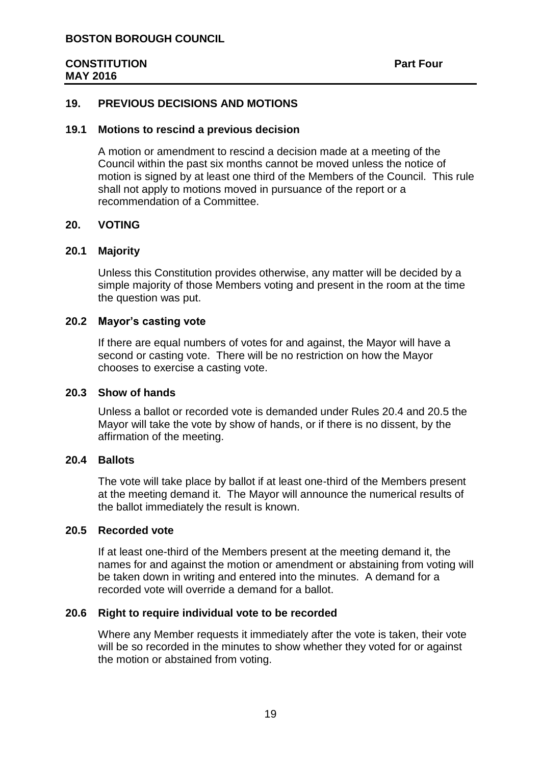#### **19. PREVIOUS DECISIONS AND MOTIONS**

#### **19.1 Motions to rescind a previous decision**

A motion or amendment to rescind a decision made at a meeting of the Council within the past six months cannot be moved unless the notice of motion is signed by at least one third of the Members of the Council. This rule shall not apply to motions moved in pursuance of the report or a recommendation of a Committee.

#### **20. VOTING**

#### **20.1 Majority**

Unless this Constitution provides otherwise, any matter will be decided by a simple majority of those Members voting and present in the room at the time the question was put.

#### **20.2 Mayor's casting vote**

If there are equal numbers of votes for and against, the Mayor will have a second or casting vote. There will be no restriction on how the Mayor chooses to exercise a casting vote.

#### **20.3 Show of hands**

Unless a ballot or recorded vote is demanded under Rules 20.4 and 20.5 the Mayor will take the vote by show of hands, or if there is no dissent, by the affirmation of the meeting.

#### **20.4 Ballots**

The vote will take place by ballot if at least one-third of the Members present at the meeting demand it. The Mayor will announce the numerical results of the ballot immediately the result is known.

## **20.5 Recorded vote**

If at least one-third of the Members present at the meeting demand it, the names for and against the motion or amendment or abstaining from voting will be taken down in writing and entered into the minutes. A demand for a recorded vote will override a demand for a ballot.

#### **20.6 Right to require individual vote to be recorded**

Where any Member requests it immediately after the vote is taken, their vote will be so recorded in the minutes to show whether they voted for or against the motion or abstained from voting.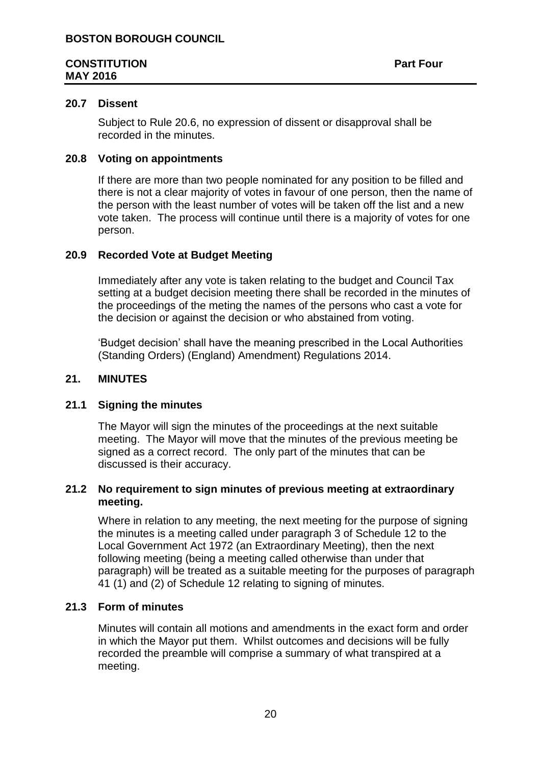# **20.7 Dissent**

Subject to Rule 20.6, no expression of dissent or disapproval shall be recorded in the minutes.

#### **20.8 Voting on appointments**

If there are more than two people nominated for any position to be filled and there is not a clear majority of votes in favour of one person, then the name of the person with the least number of votes will be taken off the list and a new vote taken. The process will continue until there is a majority of votes for one person.

#### **20.9 Recorded Vote at Budget Meeting**

Immediately after any vote is taken relating to the budget and Council Tax setting at a budget decision meeting there shall be recorded in the minutes of the proceedings of the meting the names of the persons who cast a vote for the decision or against the decision or who abstained from voting.

'Budget decision' shall have the meaning prescribed in the Local Authorities (Standing Orders) (England) Amendment) Regulations 2014.

#### **21. MINUTES**

#### **21.1 Signing the minutes**

The Mayor will sign the minutes of the proceedings at the next suitable meeting. The Mayor will move that the minutes of the previous meeting be signed as a correct record. The only part of the minutes that can be discussed is their accuracy.

#### **21.2 No requirement to sign minutes of previous meeting at extraordinary meeting.**

Where in relation to any meeting, the next meeting for the purpose of signing the minutes is a meeting called under paragraph 3 of Schedule 12 to the Local Government Act 1972 (an Extraordinary Meeting), then the next following meeting (being a meeting called otherwise than under that paragraph) will be treated as a suitable meeting for the purposes of paragraph 41 (1) and (2) of Schedule 12 relating to signing of minutes.

## **21.3 Form of minutes**

Minutes will contain all motions and amendments in the exact form and order in which the Mayor put them. Whilst outcomes and decisions will be fully recorded the preamble will comprise a summary of what transpired at a meeting.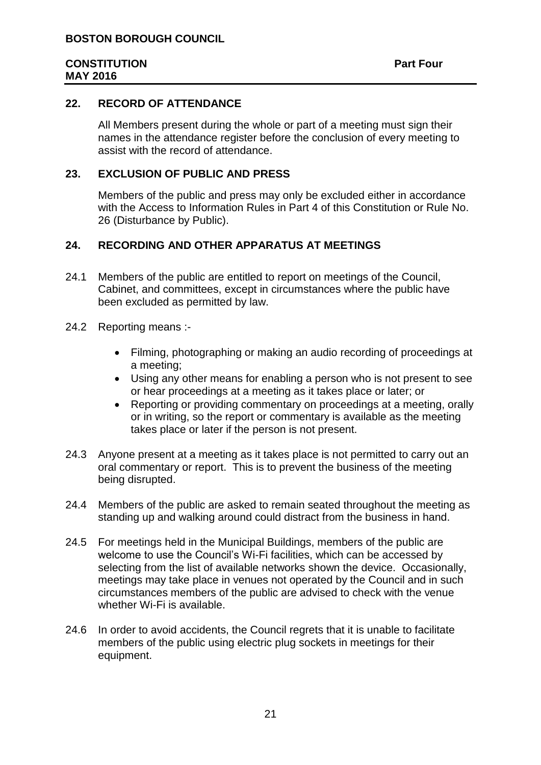#### **22. RECORD OF ATTENDANCE**

All Members present during the whole or part of a meeting must sign their names in the attendance register before the conclusion of every meeting to assist with the record of attendance.

# **23. EXCLUSION OF PUBLIC AND PRESS**

Members of the public and press may only be excluded either in accordance with the Access to Information Rules in Part 4 of this Constitution or Rule No. 26 (Disturbance by Public).

# **24. RECORDING AND OTHER APPARATUS AT MEETINGS**

- 24.1 Members of the public are entitled to report on meetings of the Council, Cabinet, and committees, except in circumstances where the public have been excluded as permitted by law.
- 24.2 Reporting means :-
	- Filming, photographing or making an audio recording of proceedings at a meeting;
	- Using any other means for enabling a person who is not present to see or hear proceedings at a meeting as it takes place or later; or
	- Reporting or providing commentary on proceedings at a meeting, orally or in writing, so the report or commentary is available as the meeting takes place or later if the person is not present.
- 24.3 Anyone present at a meeting as it takes place is not permitted to carry out an oral commentary or report. This is to prevent the business of the meeting being disrupted.
- 24.4 Members of the public are asked to remain seated throughout the meeting as standing up and walking around could distract from the business in hand.
- 24.5 For meetings held in the Municipal Buildings, members of the public are welcome to use the Council's Wi-Fi facilities, which can be accessed by selecting from the list of available networks shown the device. Occasionally, meetings may take place in venues not operated by the Council and in such circumstances members of the public are advised to check with the venue whether Wi-Fi is available.
- 24.6 In order to avoid accidents, the Council regrets that it is unable to facilitate members of the public using electric plug sockets in meetings for their equipment.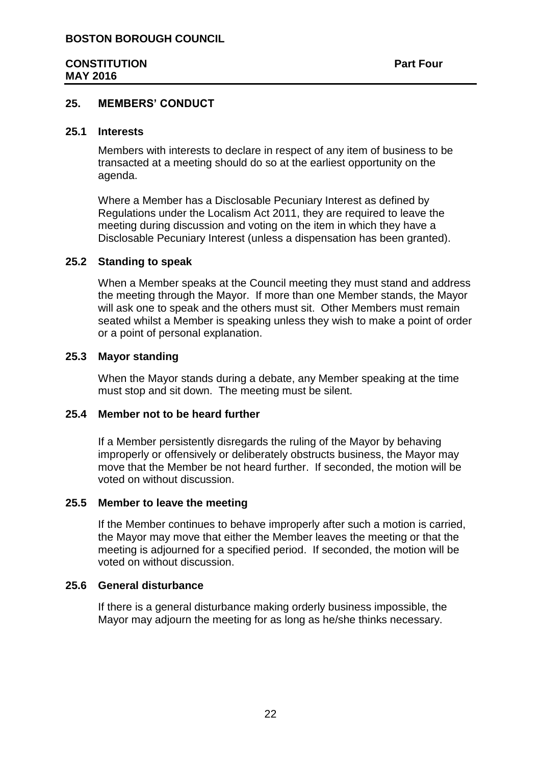#### **25. MEMBERS' CONDUCT**

#### **25.1 Interests**

Members with interests to declare in respect of any item of business to be transacted at a meeting should do so at the earliest opportunity on the agenda.

Where a Member has a Disclosable Pecuniary Interest as defined by Regulations under the Localism Act 2011, they are required to leave the meeting during discussion and voting on the item in which they have a Disclosable Pecuniary Interest (unless a dispensation has been granted).

#### **25.2 Standing to speak**

When a Member speaks at the Council meeting they must stand and address the meeting through the Mayor. If more than one Member stands, the Mayor will ask one to speak and the others must sit. Other Members must remain seated whilst a Member is speaking unless they wish to make a point of order or a point of personal explanation.

#### **25.3 Mayor standing**

When the Mayor stands during a debate, any Member speaking at the time must stop and sit down. The meeting must be silent.

## **25.4 Member not to be heard further**

If a Member persistently disregards the ruling of the Mayor by behaving improperly or offensively or deliberately obstructs business, the Mayor may move that the Member be not heard further. If seconded, the motion will be voted on without discussion.

#### **25.5 Member to leave the meeting**

If the Member continues to behave improperly after such a motion is carried, the Mayor may move that either the Member leaves the meeting or that the meeting is adjourned for a specified period. If seconded, the motion will be voted on without discussion.

#### **25.6 General disturbance**

If there is a general disturbance making orderly business impossible, the Mayor may adjourn the meeting for as long as he/she thinks necessary.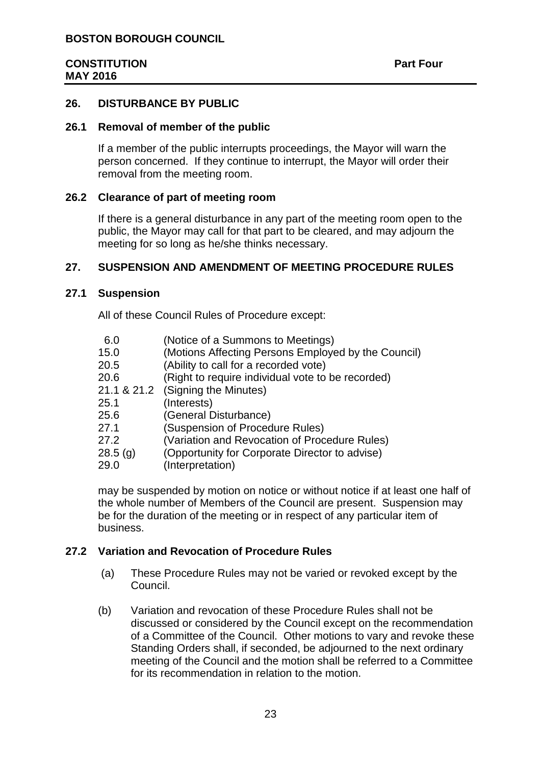#### **26. DISTURBANCE BY PUBLIC**

#### **26.1 Removal of member of the public**

If a member of the public interrupts proceedings, the Mayor will warn the person concerned. If they continue to interrupt, the Mayor will order their removal from the meeting room.

#### **26.2 Clearance of part of meeting room**

If there is a general disturbance in any part of the meeting room open to the public, the Mayor may call for that part to be cleared, and may adjourn the meeting for so long as he/she thinks necessary.

## **27. SUSPENSION AND AMENDMENT OF MEETING PROCEDURE RULES**

#### **27.1 Suspension**

All of these Council Rules of Procedure except:

| 6.0         | (Notice of a Summons to Meetings)                   |
|-------------|-----------------------------------------------------|
| 15.0        | (Motions Affecting Persons Employed by the Council) |
| 20.5        | (Ability to call for a recorded vote)               |
| 20.6        | (Right to require individual vote to be recorded)   |
| 21.1 & 21.2 | (Signing the Minutes)                               |
| 25.1        | (Interests)                                         |
| 25.6        | (General Disturbance)                               |
| 27.1        | (Suspension of Procedure Rules)                     |
| 27.2        | (Variation and Revocation of Procedure Rules)       |
| 28.5(g)     | (Opportunity for Corporate Director to advise)      |
| 29.0        | (Interpretation)                                    |
|             |                                                     |

may be suspended by motion on notice or without notice if at least one half of the whole number of Members of the Council are present. Suspension may be for the duration of the meeting or in respect of any particular item of business.

#### **27.2 Variation and Revocation of Procedure Rules**

- (a) These Procedure Rules may not be varied or revoked except by the Council.
- (b) Variation and revocation of these Procedure Rules shall not be discussed or considered by the Council except on the recommendation of a Committee of the Council. Other motions to vary and revoke these Standing Orders shall, if seconded, be adjourned to the next ordinary meeting of the Council and the motion shall be referred to a Committee for its recommendation in relation to the motion.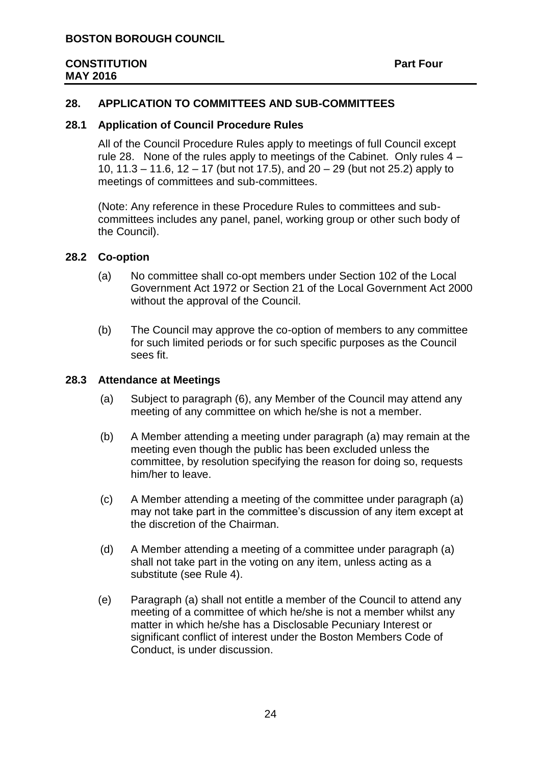#### **28. APPLICATION TO COMMITTEES AND SUB-COMMITTEES**

#### **28.1 Application of Council Procedure Rules**

All of the Council Procedure Rules apply to meetings of full Council except rule 28. None of the rules apply to meetings of the Cabinet. Only rules 4 – 10, 11.3 – 11.6, 12 – 17 (but not 17.5), and 20 – 29 (but not 25.2) apply to meetings of committees and sub-committees.

(Note: Any reference in these Procedure Rules to committees and subcommittees includes any panel, panel, working group or other such body of the Council).

#### **28.2 Co-option**

- (a) No committee shall co-opt members under Section 102 of the Local Government Act 1972 or Section 21 of the Local Government Act 2000 without the approval of the Council.
- (b) The Council may approve the co-option of members to any committee for such limited periods or for such specific purposes as the Council sees fit.

#### **28.3 Attendance at Meetings**

- (a) Subject to paragraph (6), any Member of the Council may attend any meeting of any committee on which he/she is not a member.
- (b) A Member attending a meeting under paragraph (a) may remain at the meeting even though the public has been excluded unless the committee, by resolution specifying the reason for doing so, requests him/her to leave.
- (c) A Member attending a meeting of the committee under paragraph (a) may not take part in the committee's discussion of any item except at the discretion of the Chairman.
- (d) A Member attending a meeting of a committee under paragraph (a) shall not take part in the voting on any item, unless acting as a substitute (see Rule 4).
- (e) Paragraph (a) shall not entitle a member of the Council to attend any meeting of a committee of which he/she is not a member whilst any matter in which he/she has a Disclosable Pecuniary Interest or significant conflict of interest under the Boston Members Code of Conduct, is under discussion.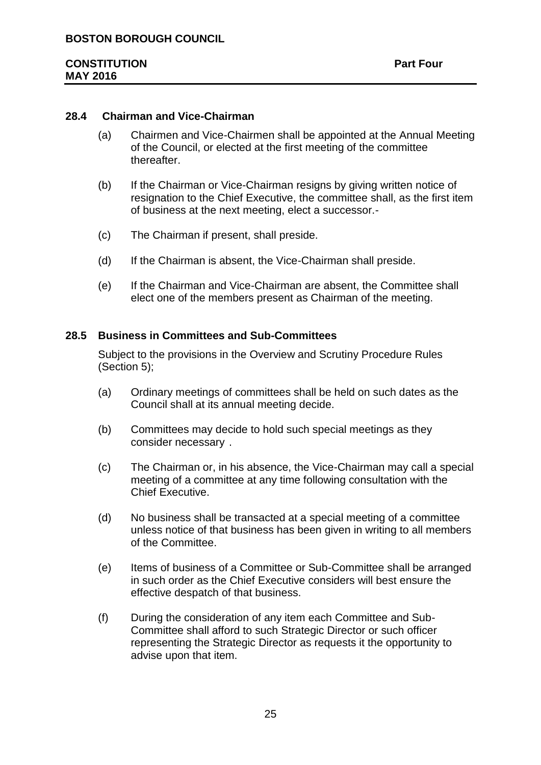# **28.4 Chairman and Vice-Chairman**

- (a) Chairmen and Vice-Chairmen shall be appointed at the Annual Meeting of the Council, or elected at the first meeting of the committee thereafter.
- (b) If the Chairman or Vice-Chairman resigns by giving written notice of resignation to the Chief Executive, the committee shall, as the first item of business at the next meeting, elect a successor.-
- (c) The Chairman if present, shall preside.
- (d) If the Chairman is absent, the Vice-Chairman shall preside.
- (e) If the Chairman and Vice-Chairman are absent, the Committee shall elect one of the members present as Chairman of the meeting.

## **28.5 Business in Committees and Sub-Committees**

Subject to the provisions in the Overview and Scrutiny Procedure Rules (Section 5);

- (a) Ordinary meetings of committees shall be held on such dates as the Council shall at its annual meeting decide.
- (b) Committees may decide to hold such special meetings as they consider necessary .
- (c) The Chairman or, in his absence, the Vice-Chairman may call a special meeting of a committee at any time following consultation with the Chief Executive.
- (d) No business shall be transacted at a special meeting of a committee unless notice of that business has been given in writing to all members of the Committee.
- (e) Items of business of a Committee or Sub-Committee shall be arranged in such order as the Chief Executive considers will best ensure the effective despatch of that business.
- (f) During the consideration of any item each Committee and Sub-Committee shall afford to such Strategic Director or such officer representing the Strategic Director as requests it the opportunity to advise upon that item.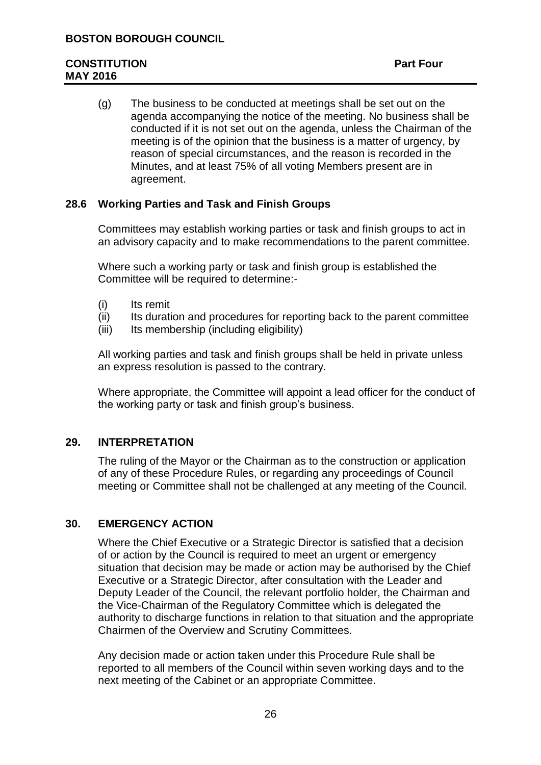(g) The business to be conducted at meetings shall be set out on the agenda accompanying the notice of the meeting. No business shall be conducted if it is not set out on the agenda, unless the Chairman of the meeting is of the opinion that the business is a matter of urgency, by reason of special circumstances, and the reason is recorded in the Minutes, and at least 75% of all voting Members present are in agreement.

# **28.6 Working Parties and Task and Finish Groups**

Committees may establish working parties or task and finish groups to act in an advisory capacity and to make recommendations to the parent committee.

Where such a working party or task and finish group is established the Committee will be required to determine:-

- (i) Its remit
- (ii) Its duration and procedures for reporting back to the parent committee
- (iii) Its membership (including eligibility)

All working parties and task and finish groups shall be held in private unless an express resolution is passed to the contrary.

Where appropriate, the Committee will appoint a lead officer for the conduct of the working party or task and finish group's business.

# **29. INTERPRETATION**

The ruling of the Mayor or the Chairman as to the construction or application of any of these Procedure Rules, or regarding any proceedings of Council meeting or Committee shall not be challenged at any meeting of the Council.

# **30. EMERGENCY ACTION**

Where the Chief Executive or a Strategic Director is satisfied that a decision of or action by the Council is required to meet an urgent or emergency situation that decision may be made or action may be authorised by the Chief Executive or a Strategic Director, after consultation with the Leader and Deputy Leader of the Council, the relevant portfolio holder, the Chairman and the Vice-Chairman of the Regulatory Committee which is delegated the authority to discharge functions in relation to that situation and the appropriate Chairmen of the Overview and Scrutiny Committees.

Any decision made or action taken under this Procedure Rule shall be reported to all members of the Council within seven working days and to the next meeting of the Cabinet or an appropriate Committee.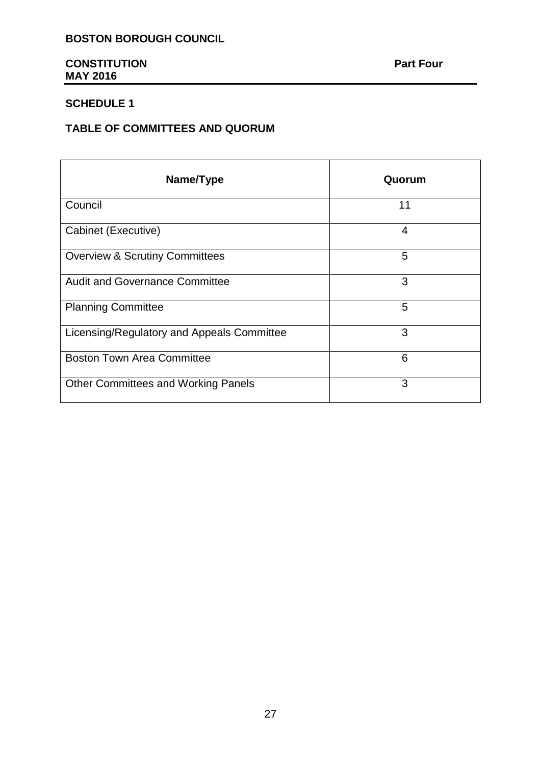# **SCHEDULE 1**

# **TABLE OF COMMITTEES AND QUORUM**

| Name/Type                                  | Quorum |
|--------------------------------------------|--------|
| Council                                    | 11     |
| Cabinet (Executive)                        | 4      |
| <b>Overview &amp; Scrutiny Committees</b>  | 5      |
| <b>Audit and Governance Committee</b>      | 3      |
| <b>Planning Committee</b>                  | 5      |
| Licensing/Regulatory and Appeals Committee | 3      |
| <b>Boston Town Area Committee</b>          | 6      |
| <b>Other Committees and Working Panels</b> | 3      |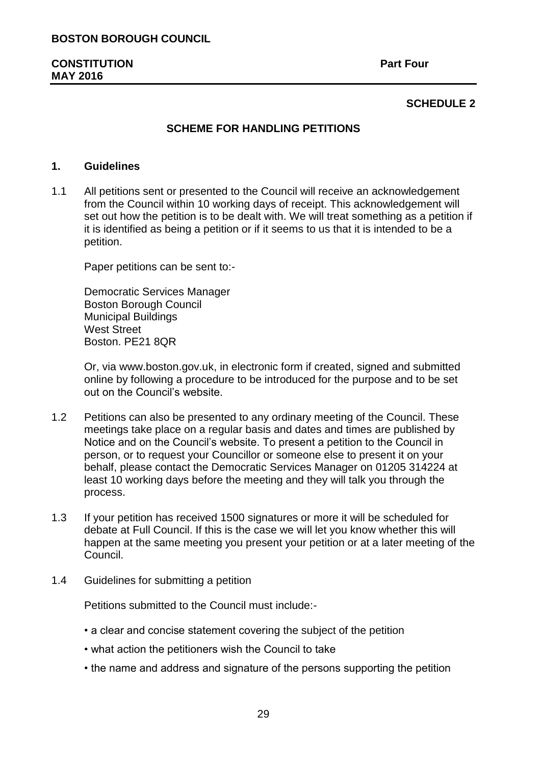# **SCHEDULE 2**

# **SCHEME FOR HANDLING PETITIONS**

#### **1. Guidelines**

1.1 All petitions sent or presented to the Council will receive an acknowledgement from the Council within 10 working days of receipt. This acknowledgement will set out how the petition is to be dealt with. We will treat something as a petition if it is identified as being a petition or if it seems to us that it is intended to be a petition.

Paper petitions can be sent to:-

Democratic Services Manager Boston Borough Council Municipal Buildings West Street Boston. PE21 8QR

Or, via www.boston.gov.uk, in electronic form if created, signed and submitted online by following a procedure to be introduced for the purpose and to be set out on the Council's website.

- 1.2 Petitions can also be presented to any ordinary meeting of the Council. These meetings take place on a regular basis and dates and times are published by Notice and on the Council's website. To present a petition to the Council in person, or to request your Councillor or someone else to present it on your behalf, please contact the Democratic Services Manager on 01205 314224 at least 10 working days before the meeting and they will talk you through the process.
- 1.3 If your petition has received 1500 signatures or more it will be scheduled for debate at Full Council. If this is the case we will let you know whether this will happen at the same meeting you present your petition or at a later meeting of the Council.
- 1.4 Guidelines for submitting a petition

Petitions submitted to the Council must include:-

- a clear and concise statement covering the subject of the petition
- what action the petitioners wish the Council to take
- the name and address and signature of the persons supporting the petition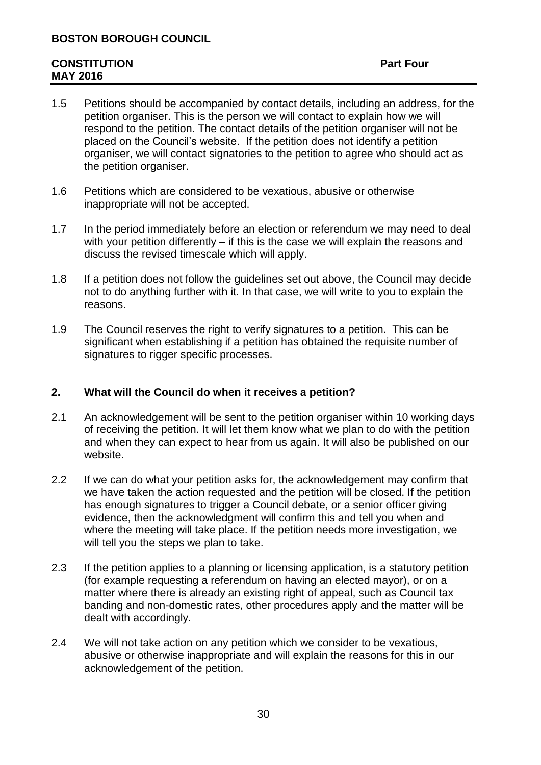- 1.5 Petitions should be accompanied by contact details, including an address, for the petition organiser. This is the person we will contact to explain how we will respond to the petition. The contact details of the petition organiser will not be placed on the Council's website. If the petition does not identify a petition organiser, we will contact signatories to the petition to agree who should act as the petition organiser.
- 1.6 Petitions which are considered to be vexatious, abusive or otherwise inappropriate will not be accepted.
- 1.7 In the period immediately before an election or referendum we may need to deal with your petition differently – if this is the case we will explain the reasons and discuss the revised timescale which will apply.
- 1.8 If a petition does not follow the guidelines set out above, the Council may decide not to do anything further with it. In that case, we will write to you to explain the reasons.
- 1.9 The Council reserves the right to verify signatures to a petition. This can be significant when establishing if a petition has obtained the requisite number of signatures to rigger specific processes.

# **2. What will the Council do when it receives a petition?**

- 2.1 An acknowledgement will be sent to the petition organiser within 10 working days of receiving the petition. It will let them know what we plan to do with the petition and when they can expect to hear from us again. It will also be published on our website.
- 2.2 If we can do what your petition asks for, the acknowledgement may confirm that we have taken the action requested and the petition will be closed. If the petition has enough signatures to trigger a Council debate, or a senior officer giving evidence, then the acknowledgment will confirm this and tell you when and where the meeting will take place. If the petition needs more investigation, we will tell you the steps we plan to take.
- 2.3 If the petition applies to a planning or licensing application, is a statutory petition (for example requesting a referendum on having an elected mayor), or on a matter where there is already an existing right of appeal, such as Council tax banding and non-domestic rates, other procedures apply and the matter will be dealt with accordingly.
- 2.4 We will not take action on any petition which we consider to be vexatious, abusive or otherwise inappropriate and will explain the reasons for this in our acknowledgement of the petition.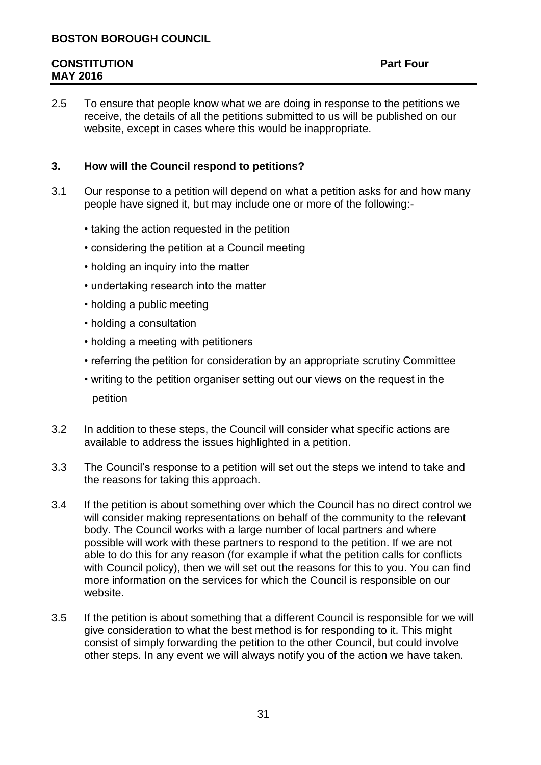# **BOSTON BOROUGH COUNCIL**

# **CONSTITUTION Part Four MAY 2016**

2.5 To ensure that people know what we are doing in response to the petitions we receive, the details of all the petitions submitted to us will be published on our website, except in cases where this would be inappropriate.

# **3. How will the Council respond to petitions?**

- 3.1 Our response to a petition will depend on what a petition asks for and how many people have signed it, but may include one or more of the following:-
	- taking the action requested in the petition
	- considering the petition at a Council meeting
	- holding an inquiry into the matter
	- undertaking research into the matter
	- holding a public meeting
	- holding a consultation
	- holding a meeting with petitioners
	- referring the petition for consideration by an appropriate scrutiny Committee
	- writing to the petition organiser setting out our views on the request in the petition
- 3.2 In addition to these steps, the Council will consider what specific actions are available to address the issues highlighted in a petition.
- 3.3 The Council's response to a petition will set out the steps we intend to take and the reasons for taking this approach.
- 3.4 If the petition is about something over which the Council has no direct control we will consider making representations on behalf of the community to the relevant body. The Council works with a large number of local partners and where possible will work with these partners to respond to the petition. If we are not able to do this for any reason (for example if what the petition calls for conflicts with Council policy), then we will set out the reasons for this to you. You can find more information on the services for which the Council is responsible on our website.
- 3.5 If the petition is about something that a different Council is responsible for we will give consideration to what the best method is for responding to it. This might consist of simply forwarding the petition to the other Council, but could involve other steps. In any event we will always notify you of the action we have taken.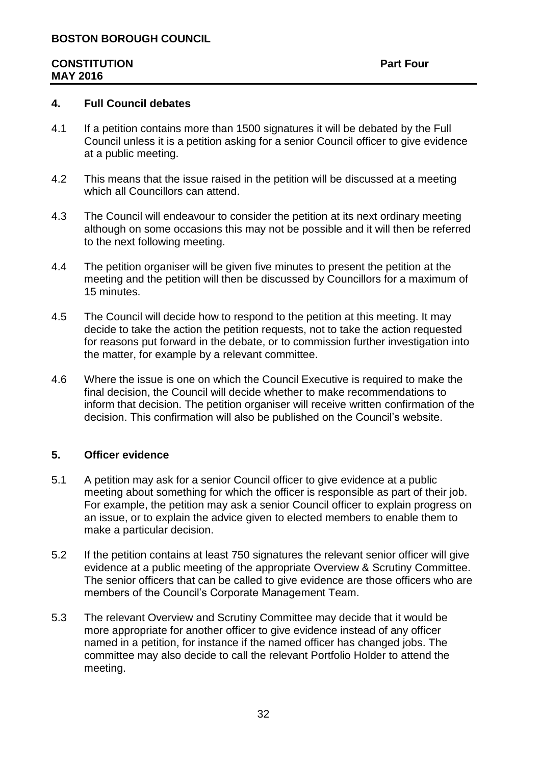## **4. Full Council debates**

- 4.1 If a petition contains more than 1500 signatures it will be debated by the Full Council unless it is a petition asking for a senior Council officer to give evidence at a public meeting.
- 4.2 This means that the issue raised in the petition will be discussed at a meeting which all Councillors can attend.
- 4.3 The Council will endeavour to consider the petition at its next ordinary meeting although on some occasions this may not be possible and it will then be referred to the next following meeting.
- 4.4 The petition organiser will be given five minutes to present the petition at the meeting and the petition will then be discussed by Councillors for a maximum of 15 minutes.
- 4.5 The Council will decide how to respond to the petition at this meeting. It may decide to take the action the petition requests, not to take the action requested for reasons put forward in the debate, or to commission further investigation into the matter, for example by a relevant committee.
- 4.6 Where the issue is one on which the Council Executive is required to make the final decision, the Council will decide whether to make recommendations to inform that decision. The petition organiser will receive written confirmation of the decision. This confirmation will also be published on the Council's website.

# **5. Officer evidence**

- 5.1 A petition may ask for a senior Council officer to give evidence at a public meeting about something for which the officer is responsible as part of their job. For example, the petition may ask a senior Council officer to explain progress on an issue, or to explain the advice given to elected members to enable them to make a particular decision.
- 5.2 If the petition contains at least 750 signatures the relevant senior officer will give evidence at a public meeting of the appropriate Overview & Scrutiny Committee. The senior officers that can be called to give evidence are those officers who are members of the Council's Corporate Management Team.
- 5.3 The relevant Overview and Scrutiny Committee may decide that it would be more appropriate for another officer to give evidence instead of any officer named in a petition, for instance if the named officer has changed jobs. The committee may also decide to call the relevant Portfolio Holder to attend the meeting.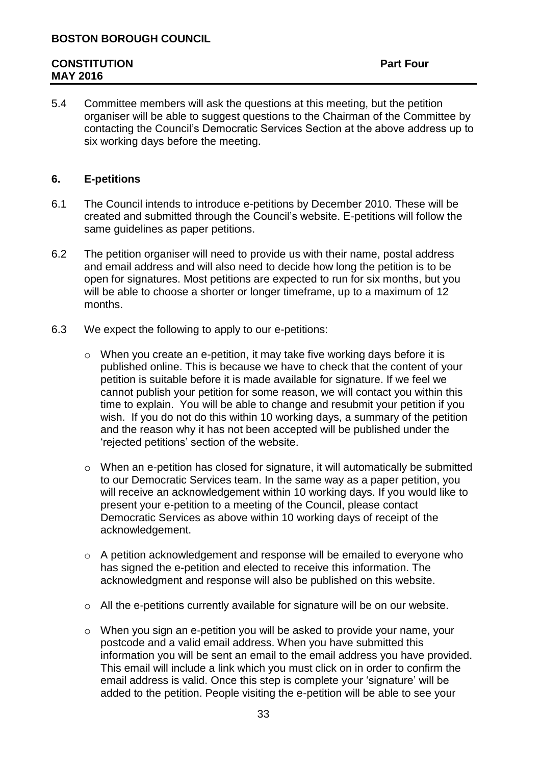5.4 Committee members will ask the questions at this meeting, but the petition organiser will be able to suggest questions to the Chairman of the Committee by contacting the Council's Democratic Services Section at the above address up to six working days before the meeting.

# **6. E-petitions**

- 6.1 The Council intends to introduce e-petitions by December 2010. These will be created and submitted through the Council's website. E-petitions will follow the same guidelines as paper petitions.
- 6.2 The petition organiser will need to provide us with their name, postal address and email address and will also need to decide how long the petition is to be open for signatures. Most petitions are expected to run for six months, but you will be able to choose a shorter or longer timeframe, up to a maximum of 12 months.
- 6.3 We expect the following to apply to our e-petitions:
	- o When you create an e-petition, it may take five working days before it is published online. This is because we have to check that the content of your petition is suitable before it is made available for signature. If we feel we cannot publish your petition for some reason, we will contact you within this time to explain. You will be able to change and resubmit your petition if you wish. If you do not do this within 10 working days, a summary of the petition and the reason why it has not been accepted will be published under the 'rejected petitions' section of the website.
	- o When an e-petition has closed for signature, it will automatically be submitted to our Democratic Services team. In the same way as a paper petition, you will receive an acknowledgement within 10 working days. If you would like to present your e-petition to a meeting of the Council, please contact Democratic Services as above within 10 working days of receipt of the acknowledgement.
	- o A petition acknowledgement and response will be emailed to everyone who has signed the e-petition and elected to receive this information. The acknowledgment and response will also be published on this website.
	- o All the e-petitions currently available for signature will be on our website.
	- o When you sign an e-petition you will be asked to provide your name, your postcode and a valid email address. When you have submitted this information you will be sent an email to the email address you have provided. This email will include a link which you must click on in order to confirm the email address is valid. Once this step is complete your 'signature' will be added to the petition. People visiting the e-petition will be able to see your